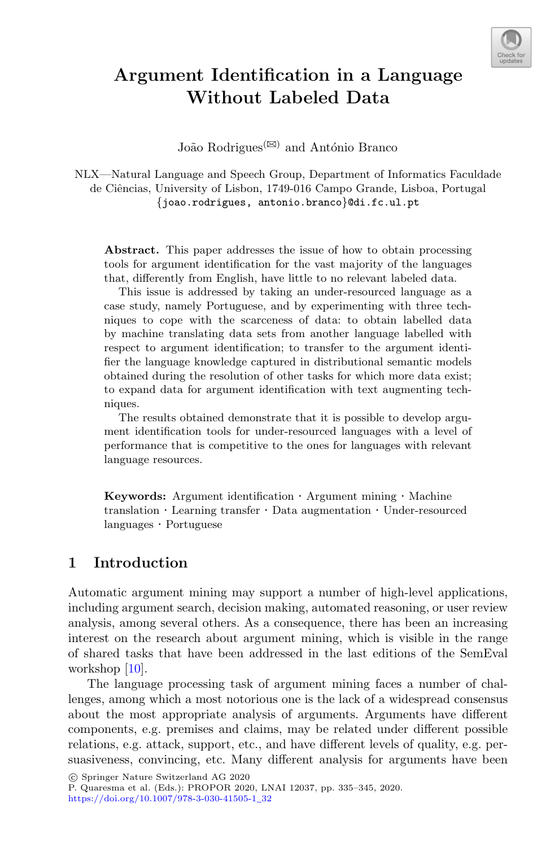

# **Argument Identification in a Language Without Labeled Data**

João Rodrigues<sup>( $\boxtimes$ )</sup> and António Branco

NLX—Natural Language and Speech Group, Department of Informatics Faculdade de Ciências, University of Lisbon, 1749-016 Campo Grande, Lisboa, Portugal *{*joao.rodrigues, antonio.branco*}*@di.fc.ul.pt

**Abstract.** This paper addresses the issue of how to obtain processing tools for argument identification for the vast majority of the languages that, differently from English, have little to no relevant labeled data.

This issue is addressed by taking an under-resourced language as a case study, namely Portuguese, and by experimenting with three techniques to cope with the scarceness of data: to obtain labelled data by machine translating data sets from another language labelled with respect to argument identification; to transfer to the argument identifier the language knowledge captured in distributional semantic models obtained during the resolution of other tasks for which more data exist; to expand data for argument identification with text augmenting techniques.

The results obtained demonstrate that it is possible to develop argument identification tools for under-resourced languages with a level of performance that is competitive to the ones for languages with relevant language resources.

**Keywords:** Argument identification *·* Argument mining *·* Machine translation *·* Learning transfer *·* Data augmentation *·* Under-resourced languages *·* Portuguese

# **1 Introduction**

Automatic argument mining may support a number of high-level applications, including argument search, decision making, automated reasoning, or user review analysis, among several others. As a consequence, there has been an increasing interest on the research about argument mining, which is visible in the range of shared tasks that have been addressed in the last editions of the SemEval workshop [\[10\]](#page-9-0).

The language processing task of argument mining faces a number of challenges, among which a most notorious one is the lack of a widespread consensus about the most appropriate analysis of arguments. Arguments have different components, e.g. premises and claims, may be related under different possible relations, e.g. attack, support, etc., and have different levels of quality, e.g. persuasiveness, convincing, etc. Many different analysis for arguments have been

-c Springer Nature Switzerland AG 2020

P. Quaresma et al. (Eds.): PROPOR 2020, LNAI 12037, pp. 335–345, 2020. [https://doi.org/10.1007/978-3-030-41505-1](https://doi.org/10.1007/978-3-030-41505-1_32)\_32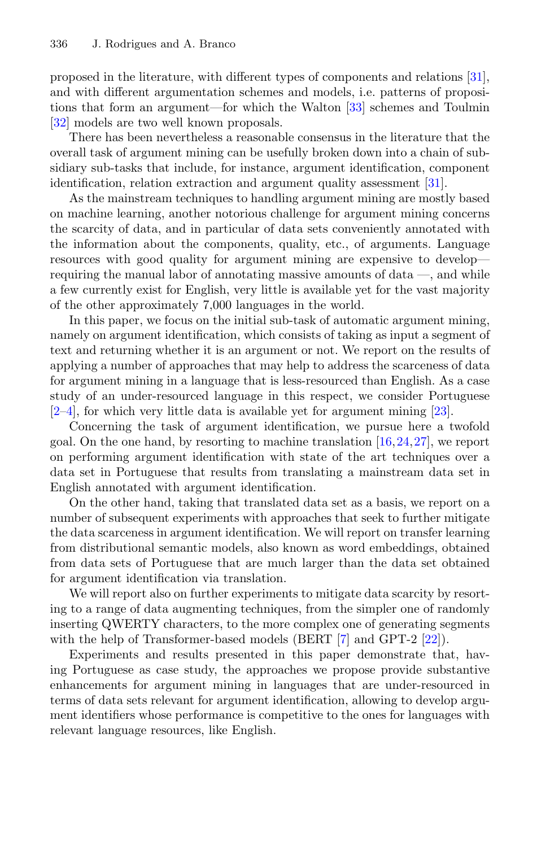proposed in the literature, with different types of components and relations [\[31\]](#page-10-0), and with different argumentation schemes and models, i.e. patterns of propositions that form an argument—for which the Walton [\[33\]](#page-10-1) schemes and Toulmin [\[32](#page-10-2)] models are two well known proposals.

There has been nevertheless a reasonable consensus in the literature that the overall task of argument mining can be usefully broken down into a chain of subsidiary sub-tasks that include, for instance, argument identification, component identification, relation extraction and argument quality assessment [\[31\]](#page-10-0).

As the mainstream techniques to handling argument mining are mostly based on machine learning, another notorious challenge for argument mining concerns the scarcity of data, and in particular of data sets conveniently annotated with the information about the components, quality, etc., of arguments. Language resources with good quality for argument mining are expensive to develop requiring the manual labor of annotating massive amounts of data —, and while a few currently exist for English, very little is available yet for the vast majority of the other approximately 7,000 languages in the world.

In this paper, we focus on the initial sub-task of automatic argument mining, namely on argument identification, which consists of taking as input a segment of text and returning whether it is an argument or not. We report on the results of applying a number of approaches that may help to address the scarceness of data for argument mining in a language that is less-resourced than English. As a case study of an under-resourced language in this respect, we consider Portuguese [\[2](#page-8-0)[–4](#page-9-1)], for which very little data is available yet for argument mining [\[23](#page-10-3)].

Concerning the task of argument identification, we pursue here a twofold goal. On the one hand, by resorting to machine translation [\[16](#page-9-2)[,24,](#page-10-4)[27\]](#page-10-5), we report on performing argument identification with state of the art techniques over a data set in Portuguese that results from translating a mainstream data set in English annotated with argument identification.

On the other hand, taking that translated data set as a basis, we report on a number of subsequent experiments with approaches that seek to further mitigate the data scarceness in argument identification. We will report on transfer learning from distributional semantic models, also known as word embeddings, obtained from data sets of Portuguese that are much larger than the data set obtained for argument identification via translation.

We will report also on further experiments to mitigate data scarcity by resorting to a range of data augmenting techniques, from the simpler one of randomly inserting QWERTY characters, to the more complex one of generating segments with the help of Transformer-based models (BERT [\[7\]](#page-9-3) and GPT-2 [\[22](#page-10-6)]).

Experiments and results presented in this paper demonstrate that, having Portuguese as case study, the approaches we propose provide substantive enhancements for argument mining in languages that are under-resourced in terms of data sets relevant for argument identification, allowing to develop argument identifiers whose performance is competitive to the ones for languages with relevant language resources, like English.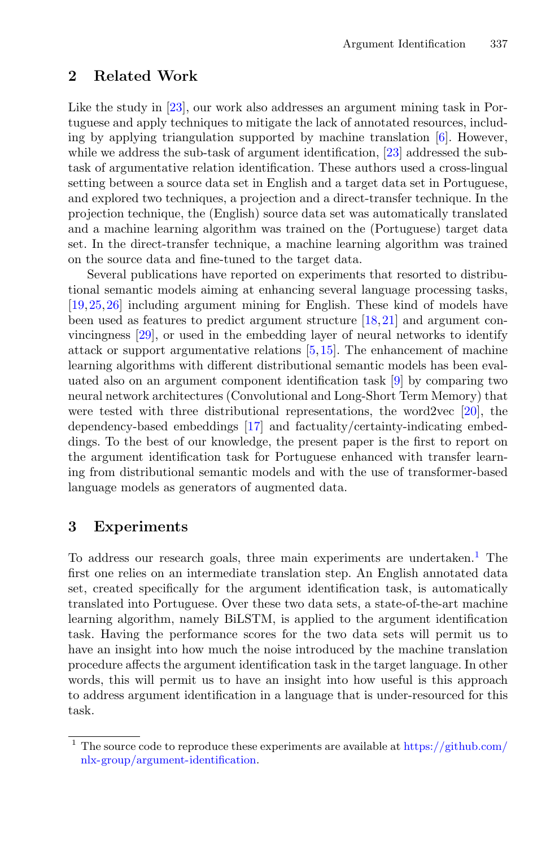### **2 Related Work**

Like the study in [\[23](#page-10-3)], our work also addresses an argument mining task in Portuguese and apply techniques to mitigate the lack of annotated resources, including by applying triangulation supported by machine translation  $[6]$ . However, while we address the sub-task of argument identification, [\[23\]](#page-10-3) addressed the subtask of argumentative relation identification. These authors used a cross-lingual setting between a source data set in English and a target data set in Portuguese, and explored two techniques, a projection and a direct-transfer technique. In the projection technique, the (English) source data set was automatically translated and a machine learning algorithm was trained on the (Portuguese) target data set. In the direct-transfer technique, a machine learning algorithm was trained on the source data and fine-tuned to the target data.

Several publications have reported on experiments that resorted to distributional semantic models aiming at enhancing several language processing tasks, [\[19](#page-10-7)[,25](#page-10-8),[26\]](#page-10-9) including argument mining for English. These kind of models have been used as features to predict argument structure [\[18,](#page-10-10)[21\]](#page-10-11) and argument convincingness [\[29](#page-10-12)], or used in the embedding layer of neural networks to identify attack or support argumentative relations [\[5](#page-9-5),[15\]](#page-9-6). The enhancement of machine learning algorithms with different distributional semantic models has been evaluated also on an argument component identification task [\[9\]](#page-9-7) by comparing two neural network architectures (Convolutional and Long-Short Term Memory) that were tested with three distributional representations, the word2vec [\[20](#page-10-13)], the dependency-based embeddings [\[17\]](#page-9-8) and factuality/certainty-indicating embeddings. To the best of our knowledge, the present paper is the first to report on the argument identification task for Portuguese enhanced with transfer learning from distributional semantic models and with the use of transformer-based language models as generators of augmented data.

### **3 Experiments**

To address our research goals, three main experiments are undertaken.<sup>[1](#page-2-0)</sup> The first one relies on an intermediate translation step. An English annotated data set, created specifically for the argument identification task, is automatically translated into Portuguese. Over these two data sets, a state-of-the-art machine learning algorithm, namely BiLSTM, is applied to the argument identification task. Having the performance scores for the two data sets will permit us to have an insight into how much the noise introduced by the machine translation procedure affects the argument identification task in the target language. In other words, this will permit us to have an insight into how useful is this approach to address argument identification in a language that is under-resourced for this task.

<span id="page-2-0"></span> $^{\rm 1}$  The source code to reproduce these experiments are available at [https://github.com/](https://github.com/nlx-group/argument-identification) [nlx-group/argument-identification.](https://github.com/nlx-group/argument-identification)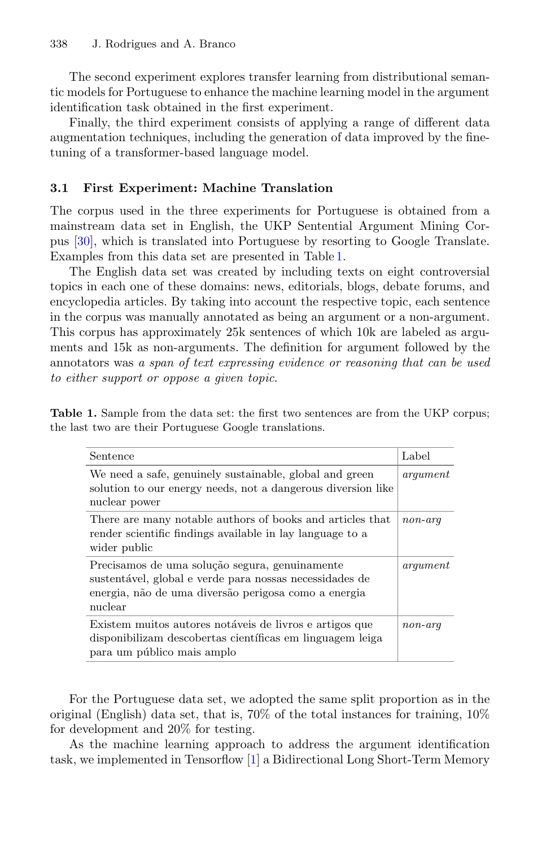The second experiment explores transfer learning from distributional semantic models for Portuguese to enhance the machine learning model in the argument identification task obtained in the first experiment.

Finally, the third experiment consists of applying a range of different data augmentation techniques, including the generation of data improved by the finetuning of a transformer-based language model.

#### **3.1 First Experiment: Machine Translation**

The corpus used in the three experiments for Portuguese is obtained from a mainstream data set in English, the UKP Sentential Argument Mining Corpus [\[30\]](#page-10-14), which is translated into Portuguese by resorting to Google Translate. Examples from this data set are presented in Table [1.](#page-3-0)

The English data set was created by including texts on eight controversial topics in each one of these domains: news, editorials, blogs, debate forums, and encyclopedia articles. By taking into account the respective topic, each sentence in the corpus was manually annotated as being an argument or a non-argument. This corpus has approximately 25k sentences of which 10k are labeled as arguments and 15k as non-arguments. The definition for argument followed by the annotators was *a span of text expressing evidence or reasoning that can be used to either support or oppose a given topic*.

|                                                        |  |  |  | <b>Table 1.</b> Sample from the data set: the first two sentences are from the UKP corpus; |  |  |  |
|--------------------------------------------------------|--|--|--|--------------------------------------------------------------------------------------------|--|--|--|
| the last two are their Portuguese Google translations. |  |  |  |                                                                                            |  |  |  |

<span id="page-3-0"></span>

| Sentence                                                                                                                                                                     | Label     |
|------------------------------------------------------------------------------------------------------------------------------------------------------------------------------|-----------|
| We need a safe, genuinely sustainable, global and green<br>solution to our energy needs, not a dangerous diversion like<br>nuclear power                                     | argument  |
| There are many notable authors of books and articles that<br>render scientific findings available in lay language to a<br>wider public                                       | $non-arg$ |
| Precisamos de uma solução segura, genuinamente<br>sustentável, global e verde para nossas necessidades de<br>energia, não de uma diversão perigosa como a energia<br>nuclear | argument  |
| Existem muitos autores notáveis de livros e artigos que<br>disponibilizam descobertas científicas em linguagem leiga<br>para um público mais amplo                           | $non-arg$ |

For the Portuguese data set, we adopted the same split proportion as in the original (English) data set, that is, 70% of the total instances for training, 10% for development and 20% for testing.

As the machine learning approach to address the argument identification task, we implemented in Tensorflow [\[1\]](#page-8-1) a Bidirectional Long Short-Term Memory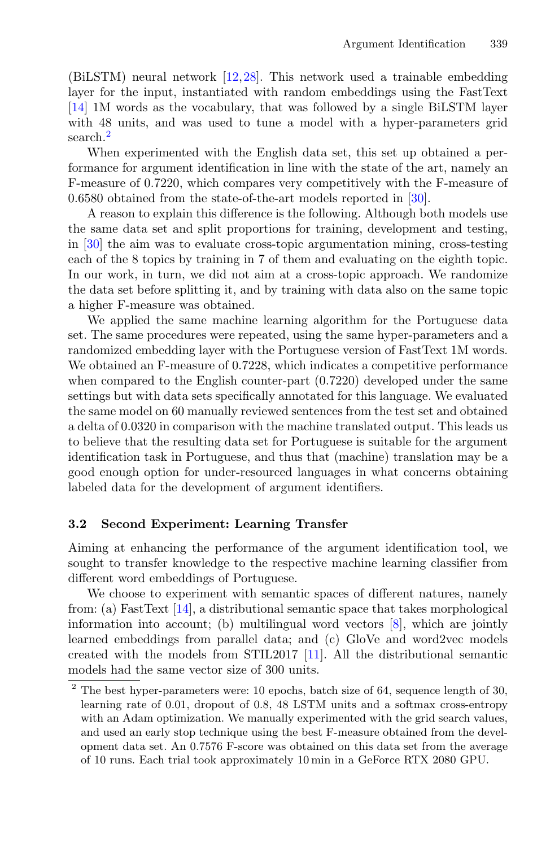(BiLSTM) neural network [\[12,](#page-9-9)[28](#page-10-15)]. This network used a trainable embedding layer for the input, instantiated with random embeddings using the FastText [\[14](#page-9-10)] 1M words as the vocabulary, that was followed by a single BiLSTM layer with 48 units, and was used to tune a model with a hyper-parameters grid search.[2](#page-4-0)

When experimented with the English data set, this set up obtained a performance for argument identification in line with the state of the art, namely an F-measure of 0.7220, which compares very competitively with the F-measure of 0.6580 obtained from the state-of-the-art models reported in [\[30](#page-10-14)].

A reason to explain this difference is the following. Although both models use the same data set and split proportions for training, development and testing, in [\[30](#page-10-14)] the aim was to evaluate cross-topic argumentation mining, cross-testing each of the 8 topics by training in 7 of them and evaluating on the eighth topic. In our work, in turn, we did not aim at a cross-topic approach. We randomize the data set before splitting it, and by training with data also on the same topic a higher F-measure was obtained.

We applied the same machine learning algorithm for the Portuguese data set. The same procedures were repeated, using the same hyper-parameters and a randomized embedding layer with the Portuguese version of FastText 1M words. We obtained an F-measure of 0.7228, which indicates a competitive performance when compared to the English counter-part (0.7220) developed under the same settings but with data sets specifically annotated for this language. We evaluated the same model on 60 manually reviewed sentences from the test set and obtained a delta of 0.0320 in comparison with the machine translated output. This leads us to believe that the resulting data set for Portuguese is suitable for the argument identification task in Portuguese, and thus that (machine) translation may be a good enough option for under-resourced languages in what concerns obtaining labeled data for the development of argument identifiers.

#### **3.2 Second Experiment: Learning Transfer**

Aiming at enhancing the performance of the argument identification tool, we sought to transfer knowledge to the respective machine learning classifier from different word embeddings of Portuguese.

We choose to experiment with semantic spaces of different natures, namely from: (a) FastText [\[14\]](#page-9-10), a distributional semantic space that takes morphological information into account; (b) multilingual word vectors [\[8\]](#page-9-11), which are jointly learned embeddings from parallel data; and (c) GloVe and word2vec models created with the models from STIL2017 [\[11\]](#page-9-12). All the distributional semantic models had the same vector size of 300 units.

<span id="page-4-0"></span><sup>2</sup> The best hyper-parameters were: 10 epochs, batch size of 64, sequence length of 30, learning rate of 0.01, dropout of 0.8, 48 LSTM units and a softmax cross-entropy with an Adam optimization. We manually experimented with the grid search values, and used an early stop technique using the best F-measure obtained from the development data set. An 0.7576 F-score was obtained on this data set from the average of 10 runs. Each trial took approximately 10 min in a GeForce RTX 2080 GPU.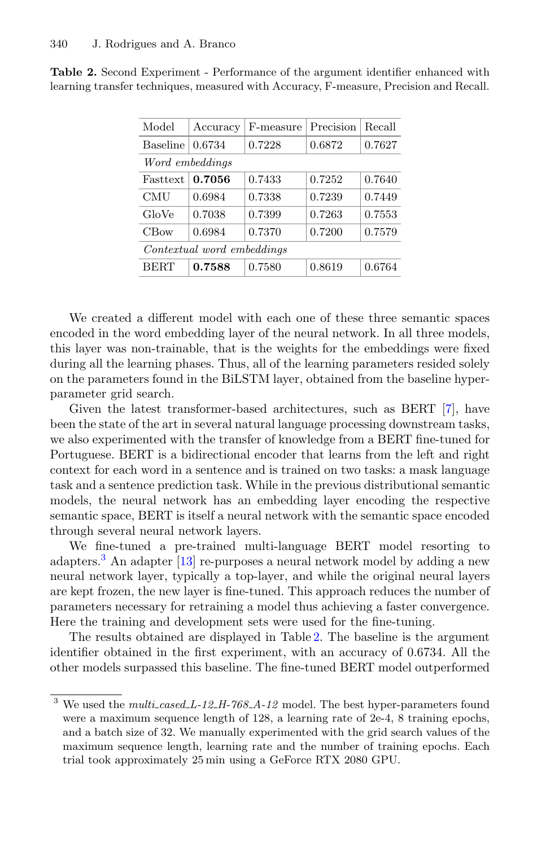| Model                      | Accuracy | F-measure | Precision | Recall |  |  |  |  |  |
|----------------------------|----------|-----------|-----------|--------|--|--|--|--|--|
| <b>Baseline</b>            | 0.6734   | 0.7228    | 0.6872    | 0.7627 |  |  |  |  |  |
| Word embeddings            |          |           |           |        |  |  |  |  |  |
| <b>Fasttext</b>            | 0.7056   | 0.7433    | 0.7252    | 0.7640 |  |  |  |  |  |
| CMU                        | 0.6984   | 0.7338    | 0.7239    | 0.7449 |  |  |  |  |  |
| GloVe                      | 0.7038   | 0.7399    | 0.7263    | 0.7553 |  |  |  |  |  |
| CBow                       | 0.6984   | 0.7370    | 0.7200    | 0.7579 |  |  |  |  |  |
| Contextual word embeddings |          |           |           |        |  |  |  |  |  |
| <b>BERT</b>                | 0.7588   | 0.7580    | 0.8619    | 0.6764 |  |  |  |  |  |
|                            |          |           |           |        |  |  |  |  |  |

<span id="page-5-1"></span>**Table 2.** Second Experiment - Performance of the argument identifier enhanced with learning transfer techniques, measured with Accuracy, F-measure, Precision and Recall.

We created a different model with each one of these three semantic spaces encoded in the word embedding layer of the neural network. In all three models, this layer was non-trainable, that is the weights for the embeddings were fixed during all the learning phases. Thus, all of the learning parameters resided solely on the parameters found in the BiLSTM layer, obtained from the baseline hyperparameter grid search.

Given the latest transformer-based architectures, such as BERT [\[7](#page-9-3)], have been the state of the art in several natural language processing downstream tasks, we also experimented with the transfer of knowledge from a BERT fine-tuned for Portuguese. BERT is a bidirectional encoder that learns from the left and right context for each word in a sentence and is trained on two tasks: a mask language task and a sentence prediction task. While in the previous distributional semantic models, the neural network has an embedding layer encoding the respective semantic space, BERT is itself a neural network with the semantic space encoded through several neural network layers.

We fine-tuned a pre-trained multi-language BERT model resorting to adapters.[3](#page-5-0) An adapter [\[13\]](#page-9-13) re-purposes a neural network model by adding a new neural network layer, typically a top-layer, and while the original neural layers are kept frozen, the new layer is fine-tuned. This approach reduces the number of parameters necessary for retraining a model thus achieving a faster convergence. Here the training and development sets were used for the fine-tuning.

The results obtained are displayed in Table [2.](#page-5-1) The baseline is the argument identifier obtained in the first experiment, with an accuracy of 0.6734. All the other models surpassed this baseline. The fine-tuned BERT model outperformed

<span id="page-5-0"></span><sup>&</sup>lt;sup>3</sup> We used the *multi-cased\_L-12\_H-768\_A-12* model. The best hyper-parameters found were a maximum sequence length of 128, a learning rate of 2e-4, 8 training epochs, and a batch size of 32. We manually experimented with the grid search values of the maximum sequence length, learning rate and the number of training epochs. Each trial took approximately 25 min using a GeForce RTX 2080 GPU.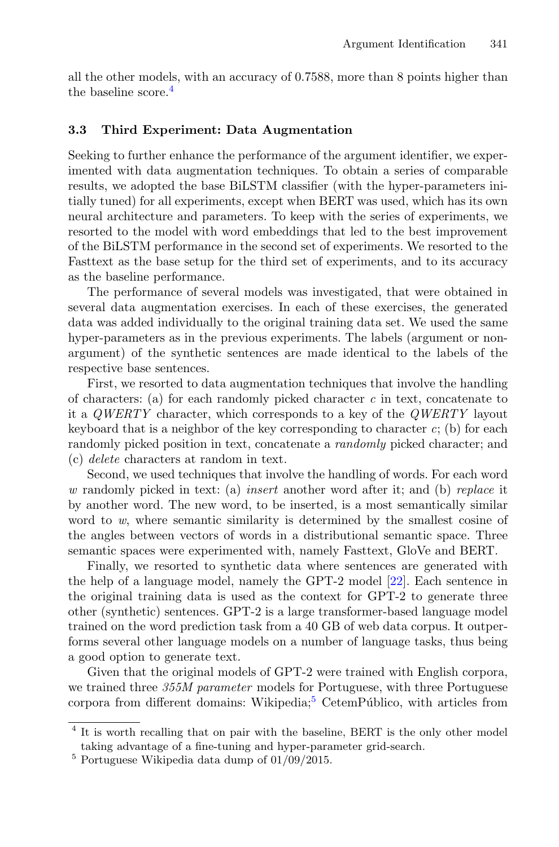all the other models, with an accuracy of 0.7588, more than 8 points higher than the baseline score.<sup>[4](#page-6-0)</sup>

#### **3.3 Third Experiment: Data Augmentation**

Seeking to further enhance the performance of the argument identifier, we experimented with data augmentation techniques. To obtain a series of comparable results, we adopted the base BiLSTM classifier (with the hyper-parameters initially tuned) for all experiments, except when BERT was used, which has its own neural architecture and parameters. To keep with the series of experiments, we resorted to the model with word embeddings that led to the best improvement of the BiLSTM performance in the second set of experiments. We resorted to the Fasttext as the base setup for the third set of experiments, and to its accuracy as the baseline performance.

The performance of several models was investigated, that were obtained in several data augmentation exercises. In each of these exercises, the generated data was added individually to the original training data set. We used the same hyper-parameters as in the previous experiments. The labels (argument or nonargument) of the synthetic sentences are made identical to the labels of the respective base sentences.

First, we resorted to data augmentation techniques that involve the handling of characters: (a) for each randomly picked character  $c$  in text, concatenate to it a *QWERTY* character, which corresponds to a key of the *QWERTY* layout keyboard that is a neighbor of the key corresponding to character  $c$ ; (b) for each randomly picked position in text, concatenate a *randomly* picked character; and (c) *delete* characters at random in text.

Second, we used techniques that involve the handling of words. For each word *w* randomly picked in text: (a) *insert* another word after it; and (b) *replace* it by another word. The new word, to be inserted, is a most semantically similar word to *w*, where semantic similarity is determined by the smallest cosine of the angles between vectors of words in a distributional semantic space. Three semantic spaces were experimented with, namely Fasttext, GloVe and BERT.

Finally, we resorted to synthetic data where sentences are generated with the help of a language model, namely the GPT-2 model [\[22\]](#page-10-6). Each sentence in the original training data is used as the context for GPT-2 to generate three other (synthetic) sentences. GPT-2 is a large transformer-based language model trained on the word prediction task from a 40 GB of web data corpus. It outperforms several other language models on a number of language tasks, thus being a good option to generate text.

Given that the original models of GPT-2 were trained with English corpora, we trained three *355M parameter* models for Portuguese, with three Portuguese corpora from different domains: Wikipedia;<sup>[5](#page-6-1)</sup> CetemPúblico, with articles from

<span id="page-6-0"></span> $^4$  It is worth recalling that on pair with the baseline, BERT is the only other model taking advantage of a fine-tuning and hyper-parameter grid-search.

<span id="page-6-1"></span> $5$  Portuguese Wikipedia data dump of 01/09/2015.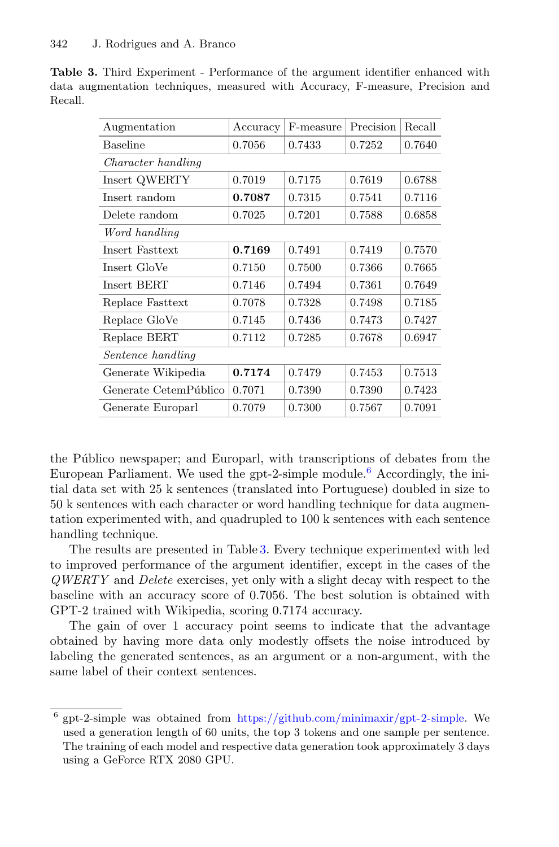| Augmentation          | Accuracy | F-measure | Precision | Recall |  |  |  |  |
|-----------------------|----------|-----------|-----------|--------|--|--|--|--|
| <b>Baseline</b>       | 0.7056   | 0.7433    | 0.7252    | 0.7640 |  |  |  |  |
| Character handling    |          |           |           |        |  |  |  |  |
| Insert QWERTY         | 0.7019   | 0.7175    | 0.7619    | 0.6788 |  |  |  |  |
| Insert random         | 0.7087   | 0.7315    | 0.7541    | 0.7116 |  |  |  |  |
| Delete random         | 0.7025   | 0.7201    | 0.7588    | 0.6858 |  |  |  |  |
| Word handling         |          |           |           |        |  |  |  |  |
| Insert Fasttext       | 0.7169   | 0.7491    | 0.7419    | 0.7570 |  |  |  |  |
| Insert GloVe          | 0.7150   | 0.7500    | 0.7366    | 0.7665 |  |  |  |  |
| Insert BERT           | 0.7146   | 0.7494    | 0.7361    | 0.7649 |  |  |  |  |
| Replace Fasttext      | 0.7078   | 0.7328    | 0.7498    | 0.7185 |  |  |  |  |
| Replace GloVe         | 0.7145   | 0.7436    | 0.7473    | 0.7427 |  |  |  |  |
| Replace BERT          | 0.7112   | 0.7285    | 0.7678    | 0.6947 |  |  |  |  |
| Sentence handling     |          |           |           |        |  |  |  |  |
| Generate Wikipedia    | 0.7174   | 0.7479    | 0.7453    | 0.7513 |  |  |  |  |
| Generate CetemPúblico | 0.7071   | 0.7390    | 0.7390    | 0.7423 |  |  |  |  |
| Generate Europarl     | 0.7079   | 0.7300    | 0.7567    | 0.7091 |  |  |  |  |

<span id="page-7-1"></span>**Table 3.** Third Experiment - Performance of the argument identifier enhanced with data augmentation techniques, measured with Accuracy, F-measure, Precision and Recall.

the Público newspaper; and Europarl, with transcriptions of debates from the European Parliament. We used the gpt-2-simple module.<sup>[6](#page-7-0)</sup> Accordingly, the initial data set with 25 k sentences (translated into Portuguese) doubled in size to 50 k sentences with each character or word handling technique for data augmentation experimented with, and quadrupled to 100 k sentences with each sentence handling technique.

The results are presented in Table [3.](#page-7-1) Every technique experimented with led to improved performance of the argument identifier, except in the cases of the *QWERTY* and *Delete* exercises, yet only with a slight decay with respect to the baseline with an accuracy score of 0.7056. The best solution is obtained with GPT-2 trained with Wikipedia, scoring 0.7174 accuracy.

The gain of over 1 accuracy point seems to indicate that the advantage obtained by having more data only modestly offsets the noise introduced by labeling the generated sentences, as an argument or a non-argument, with the same label of their context sentences.

<span id="page-7-0"></span><sup>6</sup> gpt-2-simple was obtained from [https://github.com/minimaxir/gpt-2-simple.](https://github.com/minimaxir/gpt-2-simple) We used a generation length of 60 units, the top 3 tokens and one sample per sentence. The training of each model and respective data generation took approximately 3 days using a GeForce RTX 2080 GPU.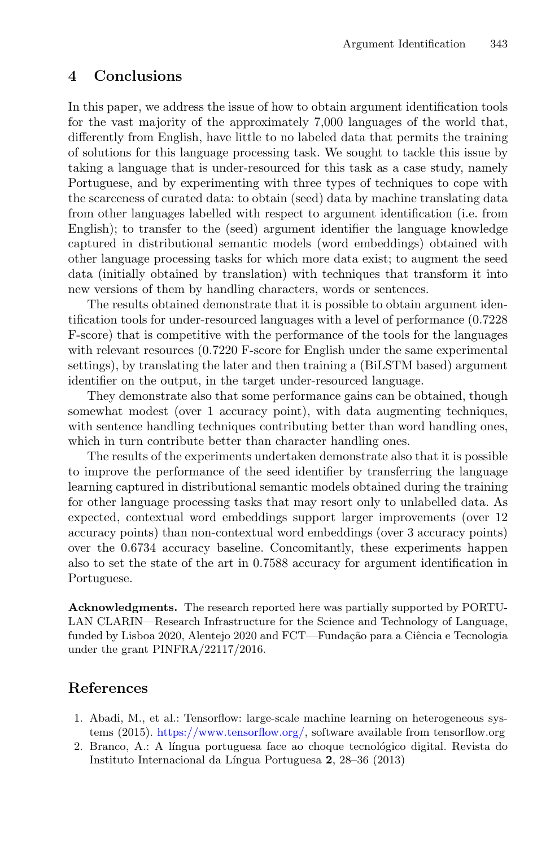### **4 Conclusions**

In this paper, we address the issue of how to obtain argument identification tools for the vast majority of the approximately 7,000 languages of the world that, differently from English, have little to no labeled data that permits the training of solutions for this language processing task. We sought to tackle this issue by taking a language that is under-resourced for this task as a case study, namely Portuguese, and by experimenting with three types of techniques to cope with the scarceness of curated data: to obtain (seed) data by machine translating data from other languages labelled with respect to argument identification (i.e. from English); to transfer to the (seed) argument identifier the language knowledge captured in distributional semantic models (word embeddings) obtained with other language processing tasks for which more data exist; to augment the seed data (initially obtained by translation) with techniques that transform it into new versions of them by handling characters, words or sentences.

The results obtained demonstrate that it is possible to obtain argument identification tools for under-resourced languages with a level of performance (0.7228 F-score) that is competitive with the performance of the tools for the languages with relevant resources (0.7220 F-score for English under the same experimental settings), by translating the later and then training a (BiLSTM based) argument identifier on the output, in the target under-resourced language.

They demonstrate also that some performance gains can be obtained, though somewhat modest (over 1 accuracy point), with data augmenting techniques, with sentence handling techniques contributing better than word handling ones, which in turn contribute better than character handling ones.

The results of the experiments undertaken demonstrate also that it is possible to improve the performance of the seed identifier by transferring the language learning captured in distributional semantic models obtained during the training for other language processing tasks that may resort only to unlabelled data. As expected, contextual word embeddings support larger improvements (over 12 accuracy points) than non-contextual word embeddings (over 3 accuracy points) over the 0.6734 accuracy baseline. Concomitantly, these experiments happen also to set the state of the art in 0.7588 accuracy for argument identification in Portuguese.

**Acknowledgments.** The research reported here was partially supported by PORTU-LAN CLARIN—Research Infrastructure for the Science and Technology of Language, funded by Lisboa 2020, Alentejo 2020 and FCT—Fundação para a Ciência e Tecnologia under the grant PINFRA/22117/2016.

# **References**

- <span id="page-8-1"></span>1. Abadi, M., et al.: Tensorflow: large-scale machine learning on heterogeneous systems (2015). [https://www.tensorflow.org/,](https://www.tensorflow.org/) software available from tensorflow.org
- <span id="page-8-0"></span>2. Branco, A.: A língua portuguesa face ao choque tecnológico digital. Revista do Instituto Internacional da L´ıngua Portuguesa **2**, 28–36 (2013)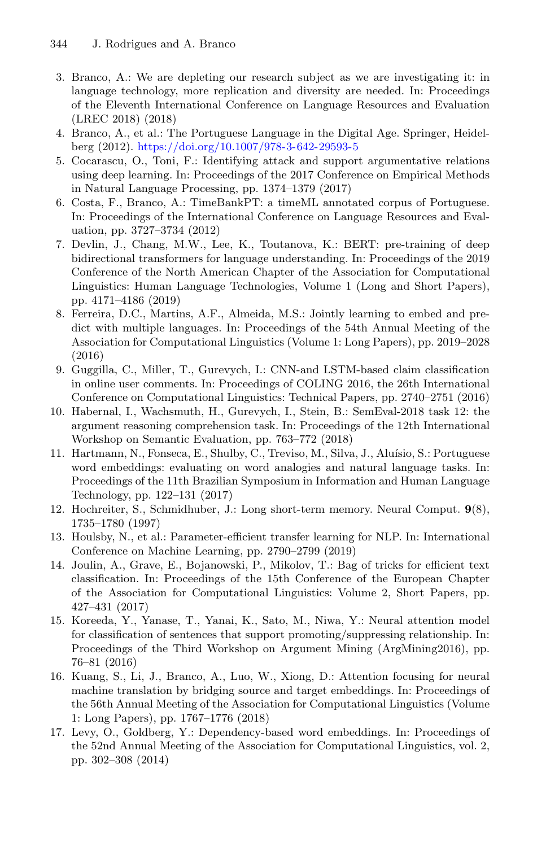- 3. Branco, A.: We are depleting our research subject as we are investigating it: in language technology, more replication and diversity are needed. In: Proceedings of the Eleventh International Conference on Language Resources and Evaluation (LREC 2018) (2018)
- <span id="page-9-1"></span>4. Branco, A., et al.: The Portuguese Language in the Digital Age. Springer, Heidelberg (2012). <https://doi.org/10.1007/978-3-642-29593-5>
- <span id="page-9-5"></span>5. Cocarascu, O., Toni, F.: Identifying attack and support argumentative relations using deep learning. In: Proceedings of the 2017 Conference on Empirical Methods in Natural Language Processing, pp. 1374–1379 (2017)
- <span id="page-9-4"></span>6. Costa, F., Branco, A.: TimeBankPT: a timeML annotated corpus of Portuguese. In: Proceedings of the International Conference on Language Resources and Evaluation, pp. 3727–3734 (2012)
- <span id="page-9-3"></span>7. Devlin, J., Chang, M.W., Lee, K., Toutanova, K.: BERT: pre-training of deep bidirectional transformers for language understanding. In: Proceedings of the 2019 Conference of the North American Chapter of the Association for Computational Linguistics: Human Language Technologies, Volume 1 (Long and Short Papers), pp. 4171–4186 (2019)
- <span id="page-9-11"></span>8. Ferreira, D.C., Martins, A.F., Almeida, M.S.: Jointly learning to embed and predict with multiple languages. In: Proceedings of the 54th Annual Meeting of the Association for Computational Linguistics (Volume 1: Long Papers), pp. 2019–2028 (2016)
- <span id="page-9-7"></span>9. Guggilla, C., Miller, T., Gurevych, I.: CNN-and LSTM-based claim classification in online user comments. In: Proceedings of COLING 2016, the 26th International Conference on Computational Linguistics: Technical Papers, pp. 2740–2751 (2016)
- <span id="page-9-0"></span>10. Habernal, I., Wachsmuth, H., Gurevych, I., Stein, B.: SemEval-2018 task 12: the argument reasoning comprehension task. In: Proceedings of the 12th International Workshop on Semantic Evaluation, pp. 763–772 (2018)
- <span id="page-9-12"></span>11. Hartmann, N., Fonseca, E., Shulby, C., Treviso, M., Silva, J., Aluísio, S.: Portuguese word embeddings: evaluating on word analogies and natural language tasks. In: Proceedings of the 11th Brazilian Symposium in Information and Human Language Technology, pp. 122–131 (2017)
- <span id="page-9-9"></span>12. Hochreiter, S., Schmidhuber, J.: Long short-term memory. Neural Comput. **9**(8), 1735–1780 (1997)
- <span id="page-9-13"></span>13. Houlsby, N., et al.: Parameter-efficient transfer learning for NLP. In: International Conference on Machine Learning, pp. 2790–2799 (2019)
- <span id="page-9-10"></span>14. Joulin, A., Grave, E., Bojanowski, P., Mikolov, T.: Bag of tricks for efficient text classification. In: Proceedings of the 15th Conference of the European Chapter of the Association for Computational Linguistics: Volume 2, Short Papers, pp. 427–431 (2017)
- <span id="page-9-6"></span>15. Koreeda, Y., Yanase, T., Yanai, K., Sato, M., Niwa, Y.: Neural attention model for classification of sentences that support promoting/suppressing relationship. In: Proceedings of the Third Workshop on Argument Mining (ArgMining2016), pp. 76–81 (2016)
- <span id="page-9-2"></span>16. Kuang, S., Li, J., Branco, A., Luo, W., Xiong, D.: Attention focusing for neural machine translation by bridging source and target embeddings. In: Proceedings of the 56th Annual Meeting of the Association for Computational Linguistics (Volume 1: Long Papers), pp. 1767–1776 (2018)
- <span id="page-9-8"></span>17. Levy, O., Goldberg, Y.: Dependency-based word embeddings. In: Proceedings of the 52nd Annual Meeting of the Association for Computational Linguistics, vol. 2, pp. 302–308 (2014)